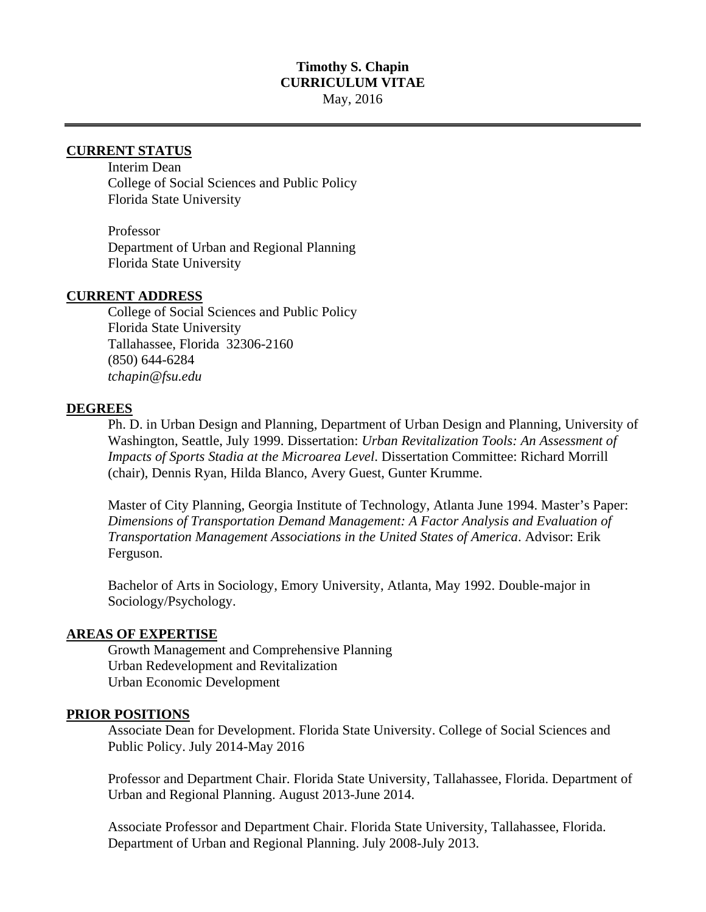## **Timothy S. Chapin CURRICULUM VITAE**  May, 2016

# **CURRENT STATUS**

 Interim Dean College of Social Sciences and Public Policy Florida State University

 Professor Department of Urban and Regional Planning Florida State University

#### **CURRENT ADDRESS**

College of Social Sciences and Public Policy Florida State University Tallahassee, Florida 32306-2160 (850) 644-6284 *tchapin@fsu.edu* 

#### **DEGREES**

Ph. D. in Urban Design and Planning, Department of Urban Design and Planning, University of Washington, Seattle, July 1999. Dissertation: *Urban Revitalization Tools: An Assessment of Impacts of Sports Stadia at the Microarea Level*. Dissertation Committee: Richard Morrill (chair), Dennis Ryan, Hilda Blanco, Avery Guest, Gunter Krumme.

Master of City Planning, Georgia Institute of Technology, Atlanta June 1994. Master's Paper: *Dimensions of Transportation Demand Management: A Factor Analysis and Evaluation of Transportation Management Associations in the United States of America*. Advisor: Erik Ferguson.

Bachelor of Arts in Sociology, Emory University, Atlanta, May 1992. Double-major in Sociology/Psychology.

#### **AREAS OF EXPERTISE**

Growth Management and Comprehensive Planning Urban Redevelopment and Revitalization Urban Economic Development

#### **PRIOR POSITIONS**

Associate Dean for Development. Florida State University. College of Social Sciences and Public Policy. July 2014-May 2016

Professor and Department Chair. Florida State University, Tallahassee, Florida. Department of Urban and Regional Planning. August 2013-June 2014.

Associate Professor and Department Chair. Florida State University, Tallahassee, Florida. Department of Urban and Regional Planning. July 2008-July 2013.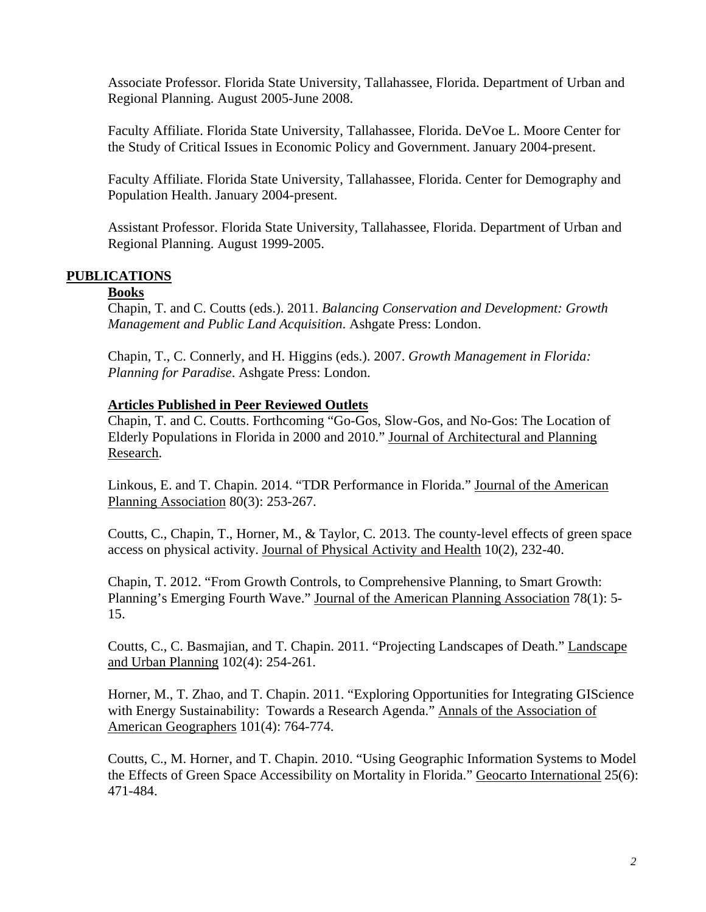Associate Professor. Florida State University, Tallahassee, Florida. Department of Urban and Regional Planning. August 2005-June 2008.

Faculty Affiliate. Florida State University, Tallahassee, Florida. DeVoe L. Moore Center for the Study of Critical Issues in Economic Policy and Government. January 2004-present.

Faculty Affiliate. Florida State University, Tallahassee, Florida. Center for Demography and Population Health. January 2004-present.

Assistant Professor. Florida State University, Tallahassee, Florida. Department of Urban and Regional Planning. August 1999-2005.

## **PUBLICATIONS**

### **Books**

Chapin, T. and C. Coutts (eds.). 2011. *Balancing Conservation and Development: Growth Management and Public Land Acquisition*. Ashgate Press: London.

Chapin, T., C. Connerly, and H. Higgins (eds.). 2007. *Growth Management in Florida: Planning for Paradise*. Ashgate Press: London.

### **Articles Published in Peer Reviewed Outlets**

Chapin, T. and C. Coutts. Forthcoming "Go-Gos, Slow-Gos, and No-Gos: The Location of Elderly Populations in Florida in 2000 and 2010." Journal of Architectural and Planning Research.

Linkous, E. and T. Chapin. 2014. "TDR Performance in Florida." Journal of the American Planning Association 80(3): 253-267.

Coutts, C., Chapin, T., Horner, M., & Taylor, C. 2013. The county-level effects of green space access on physical activity. Journal of Physical Activity and Health 10(2), 232-40.

Chapin, T. 2012. "From Growth Controls, to Comprehensive Planning, to Smart Growth: Planning's Emerging Fourth Wave." Journal of the American Planning Association 78(1): 5- 15.

Coutts, C., C. Basmajian, and T. Chapin. 2011. "Projecting Landscapes of Death." Landscape and Urban Planning 102(4): 254-261.

Horner, M., T. Zhao, and T. Chapin. 2011. "Exploring Opportunities for Integrating GIScience with Energy Sustainability: Towards a Research Agenda." Annals of the Association of American Geographers 101(4): 764-774.

Coutts, C., M. Horner, and T. Chapin. 2010. "Using Geographic Information Systems to Model the Effects of Green Space Accessibility on Mortality in Florida." Geocarto International 25(6): 471-484.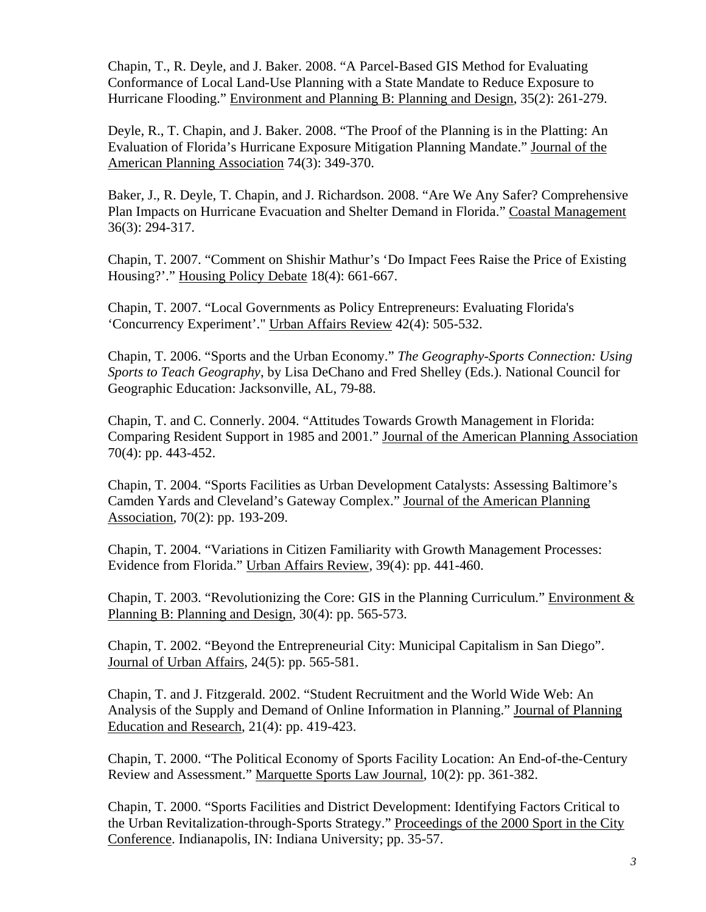Chapin, T., R. Deyle, and J. Baker. 2008. "A Parcel-Based GIS Method for Evaluating Conformance of Local Land-Use Planning with a State Mandate to Reduce Exposure to Hurricane Flooding." Environment and Planning B: Planning and Design, 35(2): 261-279.

Deyle, R., T. Chapin, and J. Baker. 2008. "The Proof of the Planning is in the Platting: An Evaluation of Florida's Hurricane Exposure Mitigation Planning Mandate." Journal of the American Planning Association 74(3): 349-370.

Baker, J., R. Deyle, T. Chapin, and J. Richardson. 2008. "Are We Any Safer? Comprehensive Plan Impacts on Hurricane Evacuation and Shelter Demand in Florida." Coastal Management 36(3): 294-317.

Chapin, T. 2007. "Comment on Shishir Mathur's 'Do Impact Fees Raise the Price of Existing Housing?'." Housing Policy Debate 18(4): 661-667.

Chapin, T. 2007. "Local Governments as Policy Entrepreneurs: Evaluating Florida's 'Concurrency Experiment'." Urban Affairs Review 42(4): 505-532.

Chapin, T. 2006. "Sports and the Urban Economy." *The Geography-Sports Connection: Using Sports to Teach Geography*, by Lisa DeChano and Fred Shelley (Eds.). National Council for Geographic Education: Jacksonville, AL, 79-88.

Chapin, T. and C. Connerly. 2004. "Attitudes Towards Growth Management in Florida: Comparing Resident Support in 1985 and 2001." Journal of the American Planning Association 70(4): pp. 443-452.

Chapin, T. 2004. "Sports Facilities as Urban Development Catalysts: Assessing Baltimore's Camden Yards and Cleveland's Gateway Complex." Journal of the American Planning Association, 70(2): pp. 193-209.

Chapin, T. 2004. "Variations in Citizen Familiarity with Growth Management Processes: Evidence from Florida." Urban Affairs Review, 39(4): pp. 441-460.

Chapin, T. 2003. "Revolutionizing the Core: GIS in the Planning Curriculum." Environment & Planning B: Planning and Design, 30(4): pp. 565-573.

Chapin, T. 2002. "Beyond the Entrepreneurial City: Municipal Capitalism in San Diego". Journal of Urban Affairs, 24(5): pp. 565-581.

Chapin, T. and J. Fitzgerald. 2002. "Student Recruitment and the World Wide Web: An Analysis of the Supply and Demand of Online Information in Planning." Journal of Planning Education and Research, 21(4): pp. 419-423.

Chapin, T. 2000. "The Political Economy of Sports Facility Location: An End-of-the-Century Review and Assessment." Marquette Sports Law Journal, 10(2): pp. 361-382.

Chapin, T. 2000. "Sports Facilities and District Development: Identifying Factors Critical to the Urban Revitalization-through-Sports Strategy." Proceedings of the 2000 Sport in the City Conference. Indianapolis, IN: Indiana University; pp. 35-57.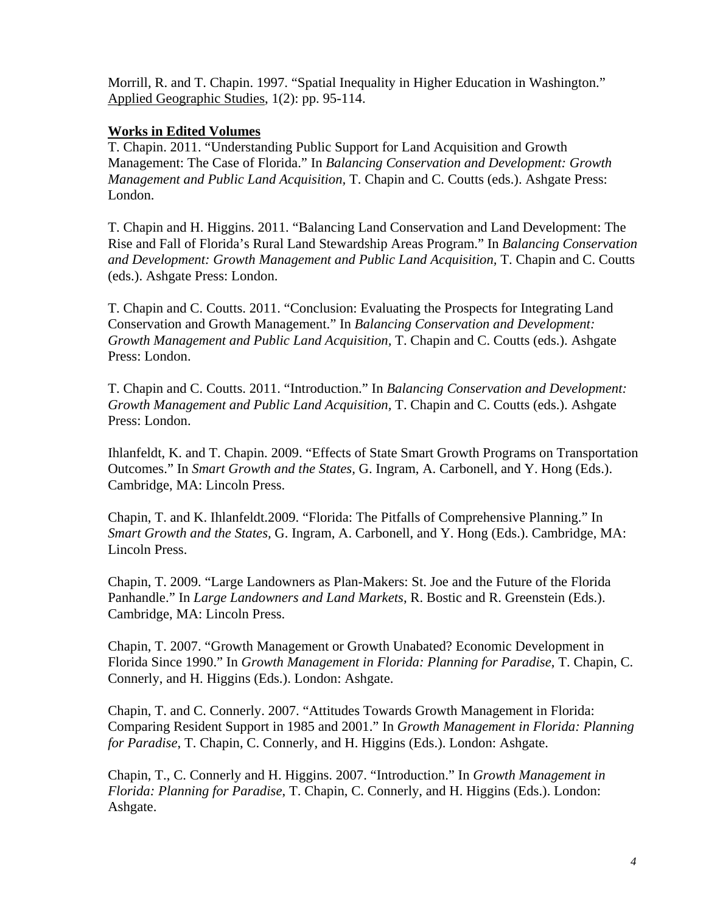Morrill, R. and T. Chapin. 1997. "Spatial Inequality in Higher Education in Washington." Applied Geographic Studies, 1(2): pp. 95-114.

# **Works in Edited Volumes**

T. Chapin. 2011. "Understanding Public Support for Land Acquisition and Growth Management: The Case of Florida." In *Balancing Conservation and Development: Growth Management and Public Land Acquisition, T. Chapin and C. Coutts (eds.). Ashgate Press:* London.

T. Chapin and H. Higgins. 2011. "Balancing Land Conservation and Land Development: The Rise and Fall of Florida's Rural Land Stewardship Areas Program." In *Balancing Conservation and Development: Growth Management and Public Land Acquisition,* T. Chapin and C. Coutts (eds.). Ashgate Press: London.

T. Chapin and C. Coutts. 2011. "Conclusion: Evaluating the Prospects for Integrating Land Conservation and Growth Management." In *Balancing Conservation and Development: Growth Management and Public Land Acquisition,* T. Chapin and C. Coutts (eds.). Ashgate Press: London.

T. Chapin and C. Coutts. 2011. "Introduction." In *Balancing Conservation and Development: Growth Management and Public Land Acquisition,* T. Chapin and C. Coutts (eds.). Ashgate Press: London.

Ihlanfeldt, K. and T. Chapin. 2009. "Effects of State Smart Growth Programs on Transportation Outcomes." In *Smart Growth and the States,* G. Ingram, A. Carbonell, and Y. Hong (Eds.). Cambridge, MA: Lincoln Press.

Chapin, T. and K. Ihlanfeldt.2009. "Florida: The Pitfalls of Comprehensive Planning." In *Smart Growth and the States,* G. Ingram, A. Carbonell, and Y. Hong (Eds.). Cambridge, MA: Lincoln Press.

Chapin, T. 2009. "Large Landowners as Plan-Makers: St. Joe and the Future of the Florida Panhandle." In *Large Landowners and Land Markets*, R. Bostic and R. Greenstein (Eds.). Cambridge, MA: Lincoln Press.

Chapin, T. 2007. "Growth Management or Growth Unabated? Economic Development in Florida Since 1990." In *Growth Management in Florida: Planning for Paradise*, T. Chapin, C. Connerly, and H. Higgins (Eds.). London: Ashgate.

Chapin, T. and C. Connerly. 2007. "Attitudes Towards Growth Management in Florida: Comparing Resident Support in 1985 and 2001." In *Growth Management in Florida: Planning for Paradise*, T. Chapin, C. Connerly, and H. Higgins (Eds.). London: Ashgate.

Chapin, T., C. Connerly and H. Higgins. 2007. "Introduction." In *Growth Management in Florida: Planning for Paradise*, T. Chapin, C. Connerly, and H. Higgins (Eds.). London: Ashgate.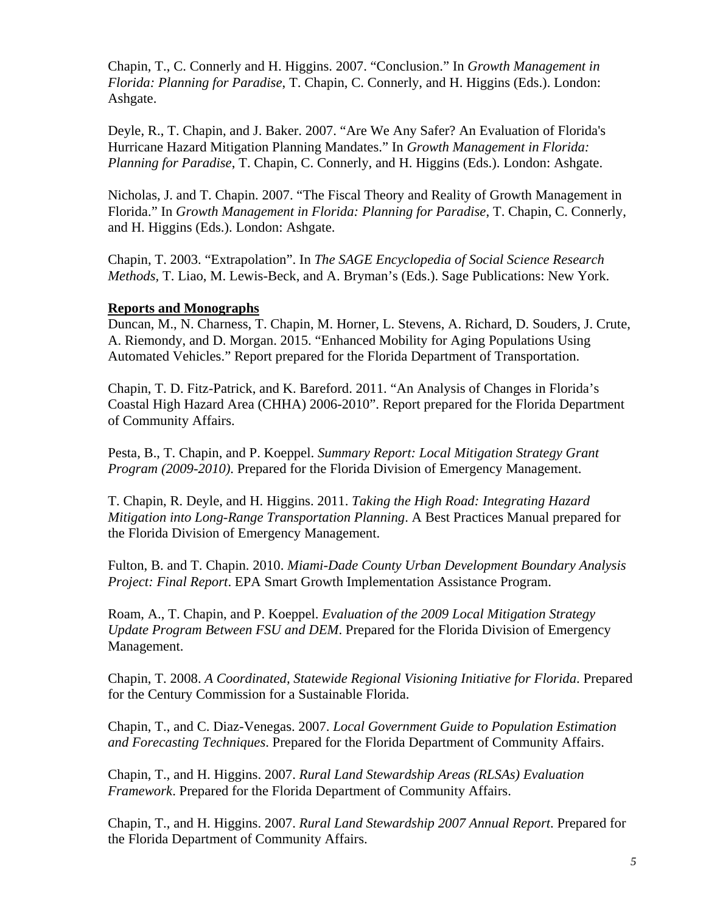Chapin, T., C. Connerly and H. Higgins. 2007. "Conclusion." In *Growth Management in Florida: Planning for Paradise*, T. Chapin, C. Connerly, and H. Higgins (Eds.). London: Ashgate.

Deyle, R., T. Chapin, and J. Baker. 2007. "Are We Any Safer? An Evaluation of Florida's Hurricane Hazard Mitigation Planning Mandates." In *Growth Management in Florida: Planning for Paradise*, T. Chapin, C. Connerly, and H. Higgins (Eds.). London: Ashgate.

Nicholas, J. and T. Chapin. 2007. "The Fiscal Theory and Reality of Growth Management in Florida." In *Growth Management in Florida: Planning for Paradise*, T. Chapin, C. Connerly, and H. Higgins (Eds.). London: Ashgate.

Chapin, T. 2003. "Extrapolation". In *The SAGE Encyclopedia of Social Science Research Methods,* T. Liao, M. Lewis-Beck, and A. Bryman's (Eds.). Sage Publications: New York.

### **Reports and Monographs**

Duncan, M., N. Charness, T. Chapin, M. Horner, L. Stevens, A. Richard, D. Souders, J. Crute, A. Riemondy, and D. Morgan. 2015. "Enhanced Mobility for Aging Populations Using Automated Vehicles." Report prepared for the Florida Department of Transportation.

Chapin, T. D. Fitz-Patrick, and K. Bareford. 2011. "An Analysis of Changes in Florida's Coastal High Hazard Area (CHHA) 2006-2010". Report prepared for the Florida Department of Community Affairs.

Pesta, B., T. Chapin, and P. Koeppel. *Summary Report: Local Mitigation Strategy Grant Program (2009-2010)*. Prepared for the Florida Division of Emergency Management.

T. Chapin, R. Deyle, and H. Higgins. 2011. *Taking the High Road: Integrating Hazard Mitigation into Long-Range Transportation Planning*. A Best Practices Manual prepared for the Florida Division of Emergency Management.

Fulton, B. and T. Chapin. 2010. *Miami-Dade County Urban Development Boundary Analysis Project: Final Report*. EPA Smart Growth Implementation Assistance Program.

Roam, A., T. Chapin, and P. Koeppel. *Evaluation of the 2009 Local Mitigation Strategy Update Program Between FSU and DEM*. Prepared for the Florida Division of Emergency Management.

Chapin, T. 2008. *A Coordinated, Statewide Regional Visioning Initiative for Florida*. Prepared for the Century Commission for a Sustainable Florida.

Chapin, T., and C. Diaz-Venegas. 2007. *Local Government Guide to Population Estimation and Forecasting Techniques*. Prepared for the Florida Department of Community Affairs.

Chapin, T., and H. Higgins. 2007. *Rural Land Stewardship Areas (RLSAs) Evaluation Framework*. Prepared for the Florida Department of Community Affairs.

Chapin, T., and H. Higgins. 2007. *Rural Land Stewardship 2007 Annual Report*. Prepared for the Florida Department of Community Affairs.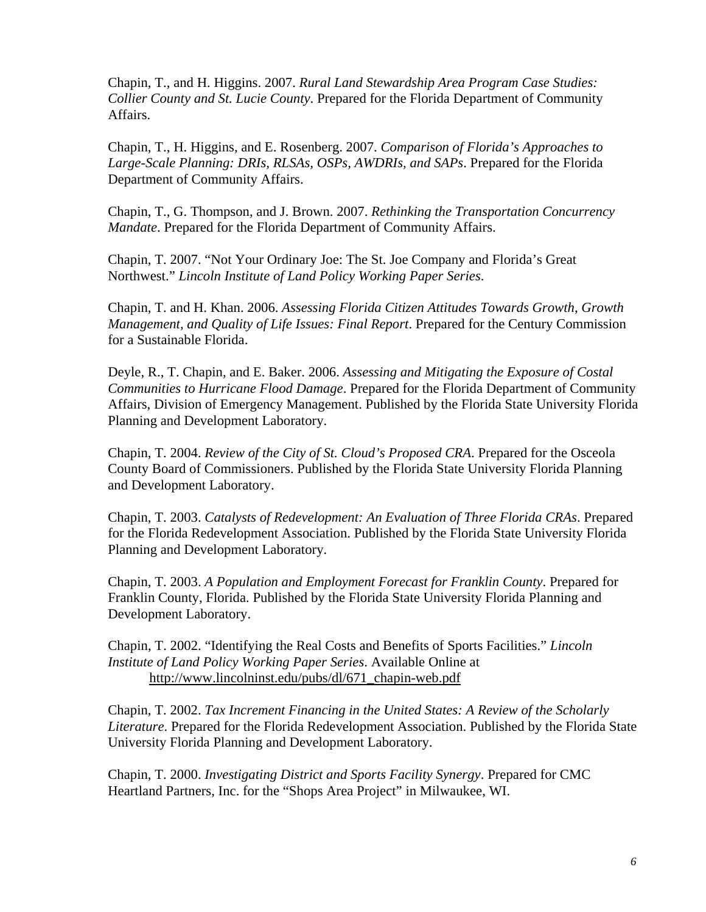Chapin, T., and H. Higgins. 2007. *Rural Land Stewardship Area Program Case Studies: Collier County and St. Lucie County*. Prepared for the Florida Department of Community Affairs.

Chapin, T., H. Higgins, and E. Rosenberg. 2007. *Comparison of Florida's Approaches to Large-Scale Planning: DRIs, RLSAs, OSPs, AWDRIs, and SAPs*. Prepared for the Florida Department of Community Affairs.

Chapin, T., G. Thompson, and J. Brown. 2007. *Rethinking the Transportation Concurrency Mandate*. Prepared for the Florida Department of Community Affairs.

Chapin, T. 2007. "Not Your Ordinary Joe: The St. Joe Company and Florida's Great Northwest." *Lincoln Institute of Land Policy Working Paper Series*.

Chapin, T. and H. Khan. 2006. *Assessing Florida Citizen Attitudes Towards Growth, Growth Management, and Quality of Life Issues: Final Report*. Prepared for the Century Commission for a Sustainable Florida.

Deyle, R., T. Chapin, and E. Baker. 2006. *Assessing and Mitigating the Exposure of Costal Communities to Hurricane Flood Damage*. Prepared for the Florida Department of Community Affairs, Division of Emergency Management. Published by the Florida State University Florida Planning and Development Laboratory.

Chapin, T. 2004. *Review of the City of St. Cloud's Proposed CRA*. Prepared for the Osceola County Board of Commissioners. Published by the Florida State University Florida Planning and Development Laboratory.

Chapin, T. 2003. *Catalysts of Redevelopment: An Evaluation of Three Florida CRAs*. Prepared for the Florida Redevelopment Association. Published by the Florida State University Florida Planning and Development Laboratory.

Chapin, T. 2003. *A Population and Employment Forecast for Franklin County*. Prepared for Franklin County, Florida. Published by the Florida State University Florida Planning and Development Laboratory.

Chapin, T. 2002. "Identifying the Real Costs and Benefits of Sports Facilities." *Lincoln Institute of Land Policy Working Paper Series*. Available Online at http://www.lincolninst.edu/pubs/dl/671\_chapin-web.pdf

Chapin, T. 2002. *Tax Increment Financing in the United States: A Review of the Scholarly Literature*. Prepared for the Florida Redevelopment Association. Published by the Florida State University Florida Planning and Development Laboratory.

Chapin, T. 2000. *Investigating District and Sports Facility Synergy*. Prepared for CMC Heartland Partners, Inc. for the "Shops Area Project" in Milwaukee, WI.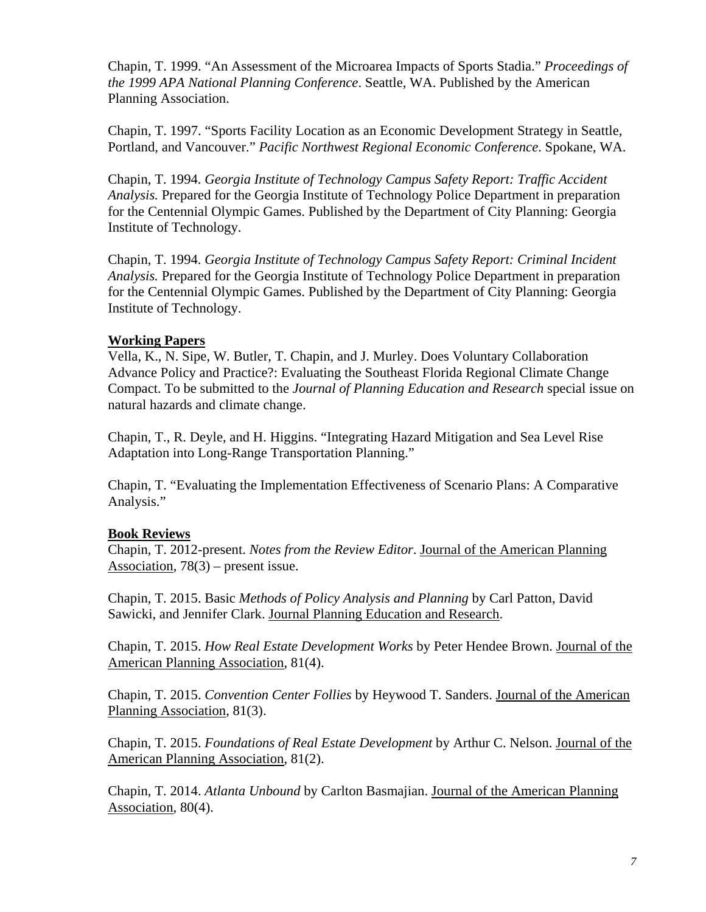Chapin, T. 1999. "An Assessment of the Microarea Impacts of Sports Stadia." *Proceedings of the 1999 APA National Planning Conference*. Seattle, WA. Published by the American Planning Association.

Chapin, T. 1997. "Sports Facility Location as an Economic Development Strategy in Seattle, Portland, and Vancouver." *Pacific Northwest Regional Economic Conference*. Spokane, WA.

Chapin, T. 1994. *Georgia Institute of Technology Campus Safety Report: Traffic Accident Analysis.* Prepared for the Georgia Institute of Technology Police Department in preparation for the Centennial Olympic Games. Published by the Department of City Planning: Georgia Institute of Technology.

Chapin, T. 1994. *Georgia Institute of Technology Campus Safety Report: Criminal Incident Analysis.* Prepared for the Georgia Institute of Technology Police Department in preparation for the Centennial Olympic Games. Published by the Department of City Planning: Georgia Institute of Technology.

### **Working Papers**

Vella, K., N. Sipe, W. Butler, T. Chapin, and J. Murley. Does Voluntary Collaboration Advance Policy and Practice?: Evaluating the Southeast Florida Regional Climate Change Compact. To be submitted to the *Journal of Planning Education and Research* special issue on natural hazards and climate change.

Chapin, T., R. Deyle, and H. Higgins. "Integrating Hazard Mitigation and Sea Level Rise Adaptation into Long-Range Transportation Planning."

Chapin, T. "Evaluating the Implementation Effectiveness of Scenario Plans: A Comparative Analysis."

## **Book Reviews**

Chapin, T. 2012-present. *Notes from the Review Editor*. Journal of the American Planning Association, 78(3) – present issue.

Chapin, T. 2015. Basic *Methods of Policy Analysis and Planning* by Carl Patton, David Sawicki, and Jennifer Clark. Journal Planning Education and Research.

Chapin, T. 2015. *How Real Estate Development Works* by Peter Hendee Brown. Journal of the American Planning Association, 81(4).

Chapin, T. 2015. *Convention Center Follies* by Heywood T. Sanders. Journal of the American Planning Association, 81(3).

Chapin, T. 2015. *Foundations of Real Estate Development* by Arthur C. Nelson. Journal of the American Planning Association, 81(2).

Chapin, T. 2014. *Atlanta Unbound* by Carlton Basmajian. Journal of the American Planning Association, 80(4).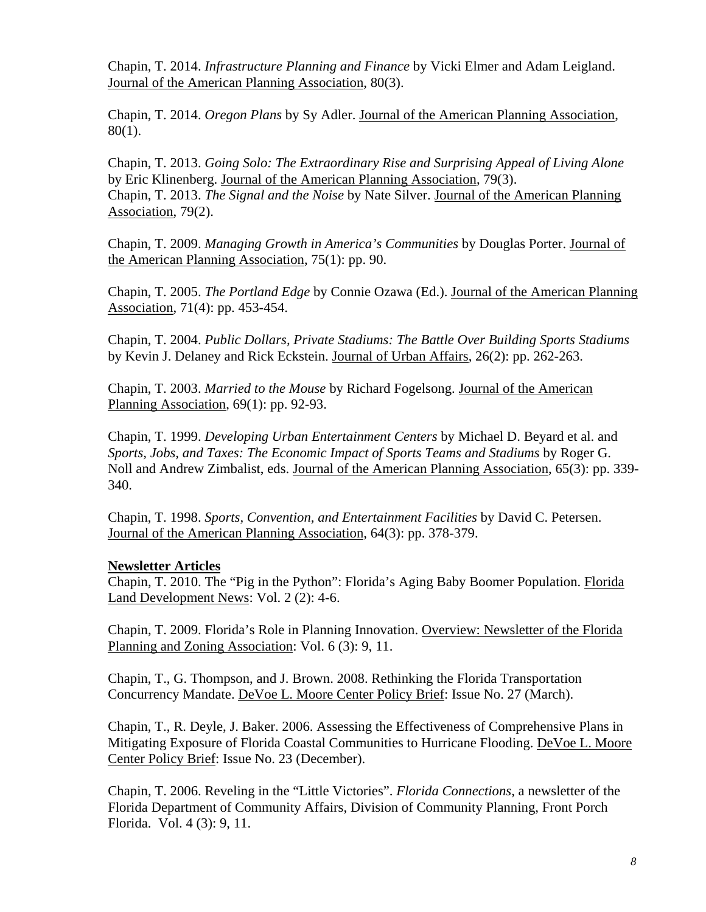Chapin, T. 2014. *Infrastructure Planning and Finance* by Vicki Elmer and Adam Leigland. Journal of the American Planning Association, 80(3).

Chapin, T. 2014. *Oregon Plans* by Sy Adler. Journal of the American Planning Association, 80(1).

Chapin, T. 2013. *Going Solo: The Extraordinary Rise and Surprising Appeal of Living Alone* by Eric Klinenberg. Journal of the American Planning Association, 79(3). Chapin, T. 2013. *The Signal and the Noise* by Nate Silver. Journal of the American Planning Association, 79(2).

Chapin, T. 2009. *Managing Growth in America's Communities* by Douglas Porter. Journal of the American Planning Association, 75(1): pp. 90.

Chapin, T. 2005. *The Portland Edge* by Connie Ozawa (Ed.). Journal of the American Planning Association, 71(4): pp. 453-454.

Chapin, T. 2004. *Public Dollars, Private Stadiums: The Battle Over Building Sports Stadiums* by Kevin J. Delaney and Rick Eckstein. Journal of Urban Affairs, 26(2): pp. 262-263.

Chapin, T. 2003. *Married to the Mouse* by Richard Fogelsong. Journal of the American Planning Association, 69(1): pp. 92-93.

Chapin, T. 1999. *Developing Urban Entertainment Centers* by Michael D. Beyard et al. and *Sports, Jobs, and Taxes: The Economic Impact of Sports Teams and Stadiums* by Roger G. Noll and Andrew Zimbalist, eds. Journal of the American Planning Association, 65(3): pp. 339- 340.

Chapin, T. 1998. *Sports, Convention, and Entertainment Facilities* by David C. Petersen. Journal of the American Planning Association, 64(3): pp. 378-379.

## **Newsletter Articles**

Chapin, T. 2010. The "Pig in the Python": Florida's Aging Baby Boomer Population. Florida Land Development News: Vol. 2 (2): 4-6.

Chapin, T. 2009. Florida's Role in Planning Innovation. Overview: Newsletter of the Florida Planning and Zoning Association: Vol. 6 (3): 9, 11.

Chapin, T., G. Thompson, and J. Brown. 2008. Rethinking the Florida Transportation Concurrency Mandate. DeVoe L. Moore Center Policy Brief: Issue No. 27 (March).

Chapin, T., R. Deyle, J. Baker. 2006. Assessing the Effectiveness of Comprehensive Plans in Mitigating Exposure of Florida Coastal Communities to Hurricane Flooding. DeVoe L. Moore Center Policy Brief: Issue No. 23 (December).

Chapin, T. 2006. Reveling in the "Little Victories". *Florida Connections*, a newsletter of the Florida Department of Community Affairs, Division of Community Planning, Front Porch Florida. Vol. 4 (3): 9, 11.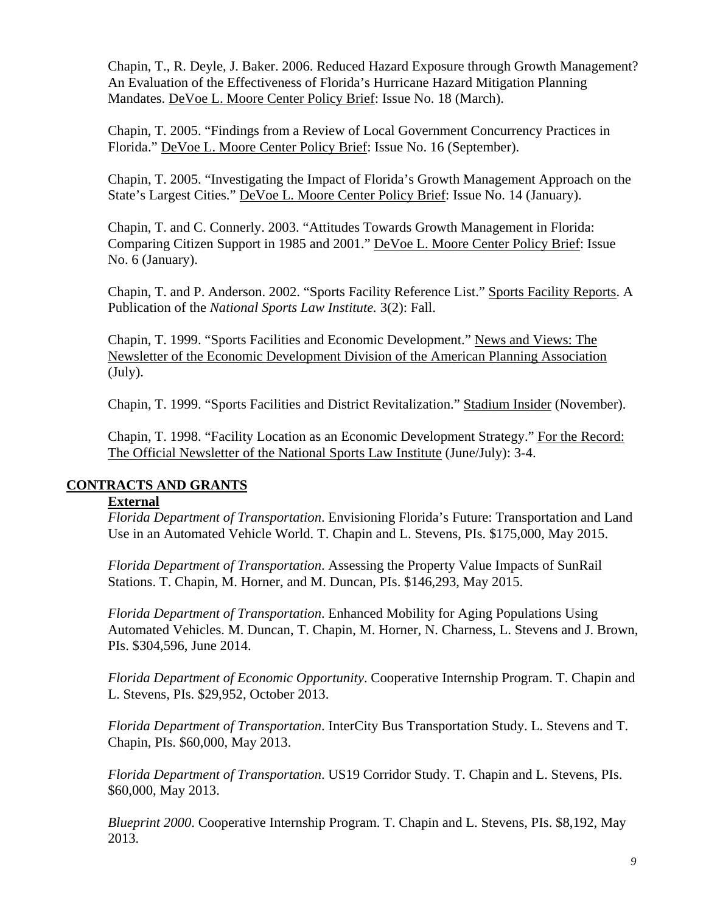Chapin, T., R. Deyle, J. Baker. 2006. Reduced Hazard Exposure through Growth Management? An Evaluation of the Effectiveness of Florida's Hurricane Hazard Mitigation Planning Mandates. DeVoe L. Moore Center Policy Brief: Issue No. 18 (March).

Chapin, T. 2005. "Findings from a Review of Local Government Concurrency Practices in Florida." DeVoe L. Moore Center Policy Brief: Issue No. 16 (September).

Chapin, T. 2005. "Investigating the Impact of Florida's Growth Management Approach on the State's Largest Cities." DeVoe L. Moore Center Policy Brief: Issue No. 14 (January).

Chapin, T. and C. Connerly. 2003. "Attitudes Towards Growth Management in Florida: Comparing Citizen Support in 1985 and 2001." DeVoe L. Moore Center Policy Brief: Issue No. 6 (January).

Chapin, T. and P. Anderson. 2002. "Sports Facility Reference List." Sports Facility Reports. A Publication of the *National Sports Law Institute.* 3(2): Fall.

Chapin, T. 1999. "Sports Facilities and Economic Development." News and Views: The Newsletter of the Economic Development Division of the American Planning Association (July).

Chapin, T. 1999. "Sports Facilities and District Revitalization." Stadium Insider (November).

Chapin, T. 1998. "Facility Location as an Economic Development Strategy." For the Record: The Official Newsletter of the National Sports Law Institute (June/July): 3-4.

## **CONTRACTS AND GRANTS**

## **External**

*Florida Department of Transportation*. Envisioning Florida's Future: Transportation and Land Use in an Automated Vehicle World. T. Chapin and L. Stevens, PIs. \$175,000, May 2015.

*Florida Department of Transportation*. Assessing the Property Value Impacts of SunRail Stations. T. Chapin, M. Horner, and M. Duncan, PIs. \$146,293, May 2015.

*Florida Department of Transportation*. Enhanced Mobility for Aging Populations Using Automated Vehicles. M. Duncan, T. Chapin, M. Horner, N. Charness, L. Stevens and J. Brown, PIs. \$304,596, June 2014.

*Florida Department of Economic Opportunity*. Cooperative Internship Program. T. Chapin and L. Stevens, PIs. \$29,952, October 2013.

*Florida Department of Transportation*. InterCity Bus Transportation Study. L. Stevens and T. Chapin, PIs. \$60,000, May 2013.

*Florida Department of Transportation*. US19 Corridor Study. T. Chapin and L. Stevens, PIs. \$60,000, May 2013.

*Blueprint 2000*. Cooperative Internship Program. T. Chapin and L. Stevens, PIs. \$8,192, May 2013.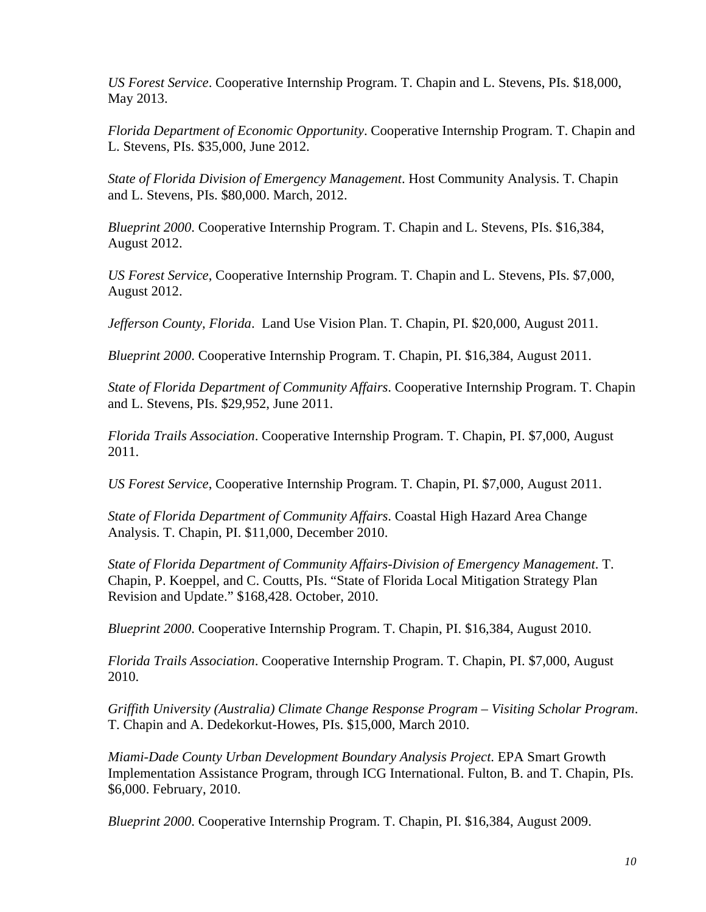*US Forest Service*. Cooperative Internship Program. T. Chapin and L. Stevens, PIs. \$18,000, May 2013.

*Florida Department of Economic Opportunity*. Cooperative Internship Program. T. Chapin and L. Stevens, PIs. \$35,000, June 2012.

*State of Florida Division of Emergency Management*. Host Community Analysis. T. Chapin and L. Stevens, PIs. \$80,000. March, 2012.

*Blueprint 2000*. Cooperative Internship Program. T. Chapin and L. Stevens, PIs. \$16,384, August 2012.

*US Forest Service*, Cooperative Internship Program. T. Chapin and L. Stevens, PIs. \$7,000, August 2012.

*Jefferson County, Florida*. Land Use Vision Plan. T. Chapin, PI. \$20,000, August 2011.

*Blueprint 2000*. Cooperative Internship Program. T. Chapin, PI. \$16,384, August 2011.

*State of Florida Department of Community Affairs*. Cooperative Internship Program. T. Chapin and L. Stevens, PIs. \$29,952, June 2011.

*Florida Trails Association*. Cooperative Internship Program. T. Chapin, PI. \$7,000, August 2011.

*US Forest Service*, Cooperative Internship Program. T. Chapin, PI. \$7,000, August 2011.

*State of Florida Department of Community Affairs*. Coastal High Hazard Area Change Analysis. T. Chapin, PI. \$11,000, December 2010.

*State of Florida Department of Community Affairs-Division of Emergency Management*. T. Chapin, P. Koeppel, and C. Coutts, PIs. "State of Florida Local Mitigation Strategy Plan Revision and Update." \$168,428. October, 2010.

*Blueprint 2000*. Cooperative Internship Program. T. Chapin, PI. \$16,384, August 2010.

*Florida Trails Association*. Cooperative Internship Program. T. Chapin, PI. \$7,000, August 2010.

*Griffith University (Australia) Climate Change Response Program – Visiting Scholar Program*. T. Chapin and A. Dedekorkut-Howes, PIs. \$15,000, March 2010.

*Miami-Dade County Urban Development Boundary Analysis Project*. EPA Smart Growth Implementation Assistance Program, through ICG International. Fulton, B. and T. Chapin, PIs. \$6,000. February, 2010.

*Blueprint 2000*. Cooperative Internship Program. T. Chapin, PI. \$16,384, August 2009.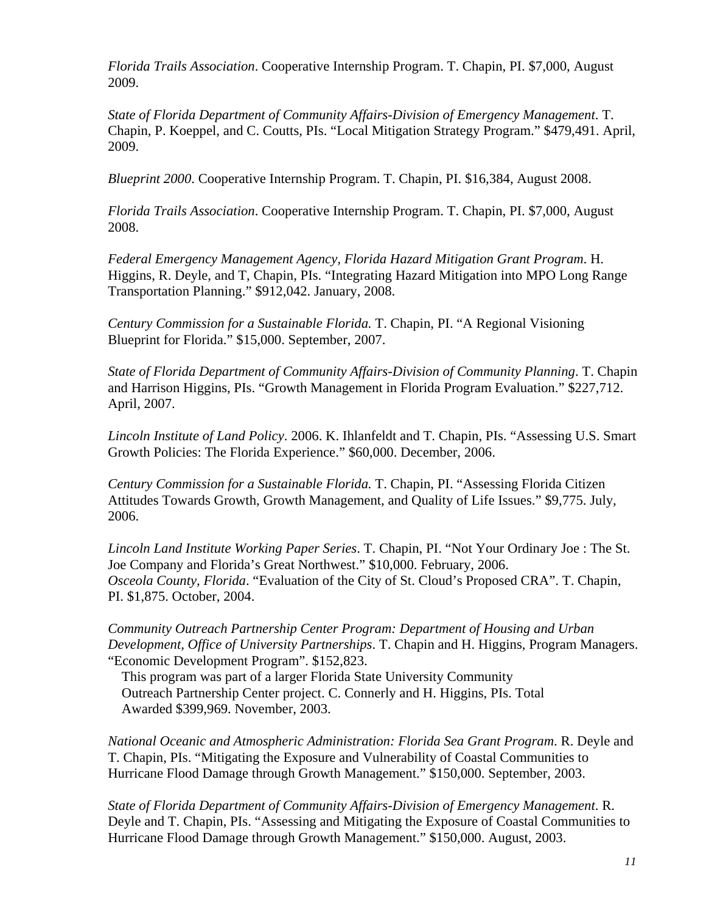*Florida Trails Association*. Cooperative Internship Program. T. Chapin, PI. \$7,000, August 2009.

*State of Florida Department of Community Affairs-Division of Emergency Management*. T. Chapin, P. Koeppel, and C. Coutts, PIs. "Local Mitigation Strategy Program." \$479,491. April, 2009.

*Blueprint 2000*. Cooperative Internship Program. T. Chapin, PI. \$16,384, August 2008.

*Florida Trails Association*. Cooperative Internship Program. T. Chapin, PI. \$7,000, August 2008.

*Federal Emergency Management Agency, Florida Hazard Mitigation Grant Program*. H. Higgins, R. Deyle, and T, Chapin, PIs. "Integrating Hazard Mitigation into MPO Long Range Transportation Planning." \$912,042. January, 2008.

*Century Commission for a Sustainable Florida.* T. Chapin, PI. "A Regional Visioning Blueprint for Florida." \$15,000. September, 2007.

*State of Florida Department of Community Affairs-Division of Community Planning*. T. Chapin and Harrison Higgins, PIs. "Growth Management in Florida Program Evaluation." \$227,712. April, 2007.

*Lincoln Institute of Land Policy*. 2006. K. Ihlanfeldt and T. Chapin, PIs. "Assessing U.S. Smart Growth Policies: The Florida Experience." \$60,000. December, 2006.

*Century Commission for a Sustainable Florida.* T. Chapin, PI. "Assessing Florida Citizen Attitudes Towards Growth, Growth Management, and Quality of Life Issues." \$9,775. July, 2006.

*Lincoln Land Institute Working Paper Series*. T. Chapin, PI. "Not Your Ordinary Joe : The St. Joe Company and Florida's Great Northwest." \$10,000. February, 2006. *Osceola County, Florida*. "Evaluation of the City of St. Cloud's Proposed CRA". T. Chapin, PI. \$1,875. October, 2004.

*Community Outreach Partnership Center Program: Department of Housing and Urban Development, Office of University Partnerships*. T. Chapin and H. Higgins, Program Managers. "Economic Development Program". \$152,823.

 This program was part of a larger Florida State University Community Outreach Partnership Center project. C. Connerly and H. Higgins, PIs. Total Awarded \$399,969. November, 2003.

*National Oceanic and Atmospheric Administration: Florida Sea Grant Program*. R. Deyle and T. Chapin, PIs. "Mitigating the Exposure and Vulnerability of Coastal Communities to Hurricane Flood Damage through Growth Management." \$150,000. September, 2003.

*State of Florida Department of Community Affairs-Division of Emergency Management*. R. Deyle and T. Chapin, PIs. "Assessing and Mitigating the Exposure of Coastal Communities to Hurricane Flood Damage through Growth Management." \$150,000. August, 2003.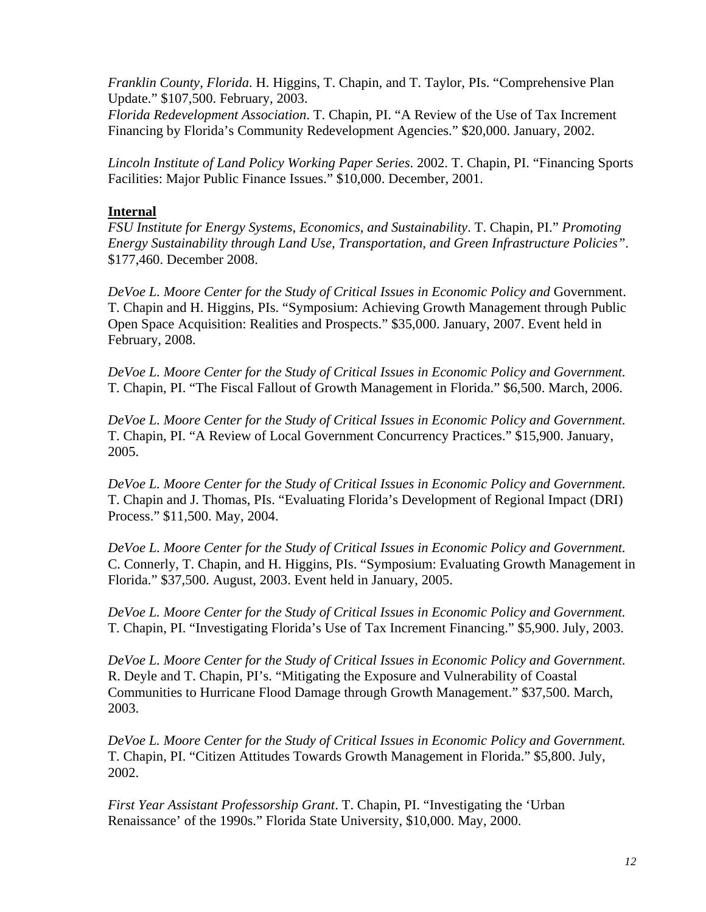*Franklin County, Florida*. H. Higgins, T. Chapin, and T. Taylor, PIs. "Comprehensive Plan Update." \$107,500. February, 2003.

*Florida Redevelopment Association*. T. Chapin, PI. "A Review of the Use of Tax Increment Financing by Florida's Community Redevelopment Agencies." \$20,000. January, 2002.

*Lincoln Institute of Land Policy Working Paper Series*. 2002. T. Chapin, PI. "Financing Sports Facilities: Major Public Finance Issues." \$10,000. December, 2001.

### **Internal**

*FSU Institute for Energy Systems, Economics, and Sustainability*. T. Chapin, PI." *Promoting Energy Sustainability through Land Use, Transportation, and Green Infrastructure Policies"*. \$177,460. December 2008.

*DeVoe L. Moore Center for the Study of Critical Issues in Economic Policy and* Government. T. Chapin and H. Higgins, PIs. "Symposium: Achieving Growth Management through Public Open Space Acquisition: Realities and Prospects." \$35,000. January, 2007. Event held in February, 2008.

*DeVoe L. Moore Center for the Study of Critical Issues in Economic Policy and Government.* T. Chapin, PI. "The Fiscal Fallout of Growth Management in Florida." \$6,500. March, 2006.

*DeVoe L. Moore Center for the Study of Critical Issues in Economic Policy and Government.* T. Chapin, PI. "A Review of Local Government Concurrency Practices." \$15,900. January, 2005.

*DeVoe L. Moore Center for the Study of Critical Issues in Economic Policy and Government.* T. Chapin and J. Thomas, PIs. "Evaluating Florida's Development of Regional Impact (DRI) Process." \$11,500. May, 2004.

*DeVoe L. Moore Center for the Study of Critical Issues in Economic Policy and Government.* C. Connerly, T. Chapin, and H. Higgins, PIs. "Symposium: Evaluating Growth Management in Florida." \$37,500. August, 2003. Event held in January, 2005.

*DeVoe L. Moore Center for the Study of Critical Issues in Economic Policy and Government.*  T. Chapin, PI. "Investigating Florida's Use of Tax Increment Financing." \$5,900. July, 2003.

*DeVoe L. Moore Center for the Study of Critical Issues in Economic Policy and Government.* R. Deyle and T. Chapin, PI's. "Mitigating the Exposure and Vulnerability of Coastal Communities to Hurricane Flood Damage through Growth Management." \$37,500. March, 2003.

*DeVoe L. Moore Center for the Study of Critical Issues in Economic Policy and Government.*  T. Chapin, PI. "Citizen Attitudes Towards Growth Management in Florida." \$5,800. July, 2002.

*First Year Assistant Professorship Grant*. T. Chapin, PI. "Investigating the 'Urban Renaissance' of the 1990s." Florida State University, \$10,000. May, 2000.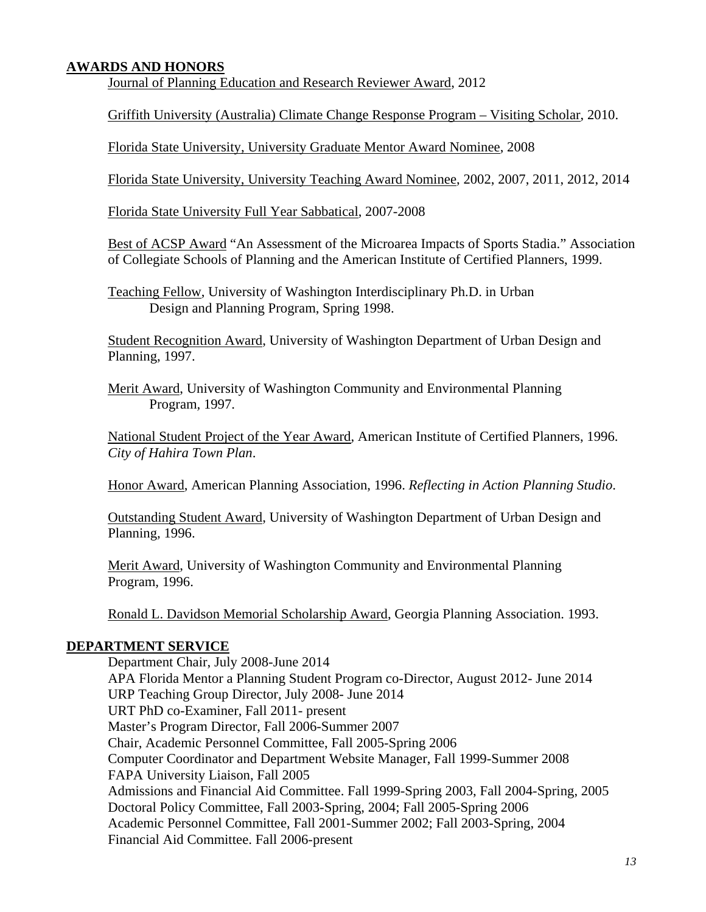## **AWARDS AND HONORS**

Journal of Planning Education and Research Reviewer Award, 2012

Griffith University (Australia) Climate Change Response Program – Visiting Scholar, 2010.

Florida State University, University Graduate Mentor Award Nominee, 2008

Florida State University, University Teaching Award Nominee, 2002, 2007, 2011, 2012, 2014

Florida State University Full Year Sabbatical, 2007-2008

Best of ACSP Award "An Assessment of the Microarea Impacts of Sports Stadia." Association of Collegiate Schools of Planning and the American Institute of Certified Planners, 1999.

Teaching Fellow, University of Washington Interdisciplinary Ph.D. in Urban Design and Planning Program, Spring 1998.

Student Recognition Award, University of Washington Department of Urban Design and Planning, 1997.

Merit Award, University of Washington Community and Environmental Planning Program*,* 1997.

National Student Project of the Year Award, American Institute of Certified Planners, 1996. *City of Hahira Town Plan*.

Honor Award, American Planning Association, 1996. *Reflecting in Action Planning Studio*.

Outstanding Student Award, University of Washington Department of Urban Design and Planning*,* 1996.

Merit Award, University of Washington Community and Environmental Planning Program*,* 1996.

Ronald L. Davidson Memorial Scholarship Award, Georgia Planning Association. 1993.

### **DEPARTMENT SERVICE**

Department Chair, July 2008-June 2014 APA Florida Mentor a Planning Student Program co-Director, August 2012- June 2014 URP Teaching Group Director, July 2008- June 2014 URT PhD co-Examiner, Fall 2011- present Master's Program Director, Fall 2006-Summer 2007 Chair, Academic Personnel Committee, Fall 2005-Spring 2006 Computer Coordinator and Department Website Manager, Fall 1999-Summer 2008 FAPA University Liaison, Fall 2005 Admissions and Financial Aid Committee. Fall 1999-Spring 2003, Fall 2004-Spring, 2005 Doctoral Policy Committee, Fall 2003-Spring, 2004; Fall 2005-Spring 2006 Academic Personnel Committee, Fall 2001-Summer 2002; Fall 2003-Spring, 2004 Financial Aid Committee. Fall 2006-present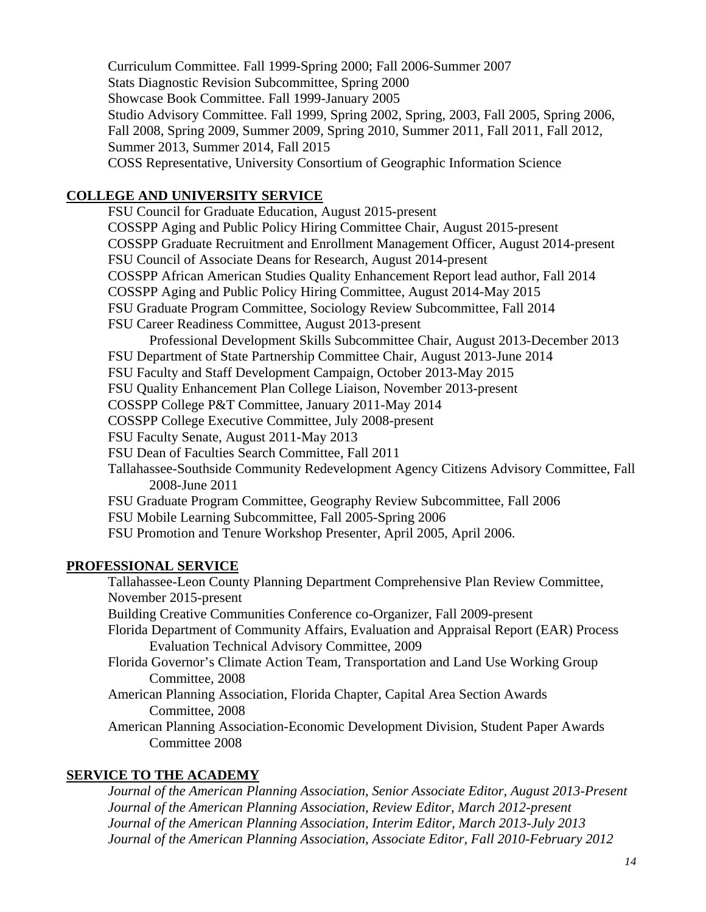Curriculum Committee. Fall 1999-Spring 2000; Fall 2006-Summer 2007 Stats Diagnostic Revision Subcommittee, Spring 2000 Showcase Book Committee. Fall 1999-January 2005 Studio Advisory Committee. Fall 1999, Spring 2002, Spring, 2003, Fall 2005, Spring 2006, Fall 2008, Spring 2009, Summer 2009, Spring 2010, Summer 2011, Fall 2011, Fall 2012, Summer 2013, Summer 2014, Fall 2015 COSS Representative, University Consortium of Geographic Information Science

# **COLLEGE AND UNIVERSITY SERVICE**

FSU Council for Graduate Education, August 2015-present COSSPP Aging and Public Policy Hiring Committee Chair, August 2015-present COSSPP Graduate Recruitment and Enrollment Management Officer, August 2014-present FSU Council of Associate Deans for Research, August 2014-present COSSPP African American Studies Quality Enhancement Report lead author, Fall 2014 COSSPP Aging and Public Policy Hiring Committee, August 2014-May 2015 FSU Graduate Program Committee, Sociology Review Subcommittee, Fall 2014 FSU Career Readiness Committee, August 2013-present Professional Development Skills Subcommittee Chair, August 2013-December 2013 FSU Department of State Partnership Committee Chair, August 2013-June 2014 FSU Faculty and Staff Development Campaign, October 2013-May 2015 FSU Quality Enhancement Plan College Liaison, November 2013-present COSSPP College P&T Committee, January 2011-May 2014 COSSPP College Executive Committee, July 2008-present FSU Faculty Senate, August 2011-May 2013 FSU Dean of Faculties Search Committee, Fall 2011 Tallahassee-Southside Community Redevelopment Agency Citizens Advisory Committee, Fall 2008-June 2011 FSU Graduate Program Committee, Geography Review Subcommittee, Fall 2006 FSU Mobile Learning Subcommittee, Fall 2005-Spring 2006 FSU Promotion and Tenure Workshop Presenter, April 2005, April 2006.

## **PROFESSIONAL SERVICE**

Tallahassee-Leon County Planning Department Comprehensive Plan Review Committee, November 2015-present Building Creative Communities Conference co-Organizer, Fall 2009-present Florida Department of Community Affairs, Evaluation and Appraisal Report (EAR) Process Evaluation Technical Advisory Committee, 2009 Florida Governor's Climate Action Team, Transportation and Land Use Working Group Committee, 2008 American Planning Association, Florida Chapter, Capital Area Section Awards Committee, 2008

American Planning Association-Economic Development Division, Student Paper Awards Committee 2008

# **SERVICE TO THE ACADEMY**

*Journal of the American Planning Association, Senior Associate Editor, August 2013-Present Journal of the American Planning Association, Review Editor, March 2012-present Journal of the American Planning Association, Interim Editor, March 2013-July 2013 Journal of the American Planning Association, Associate Editor, Fall 2010-February 2012*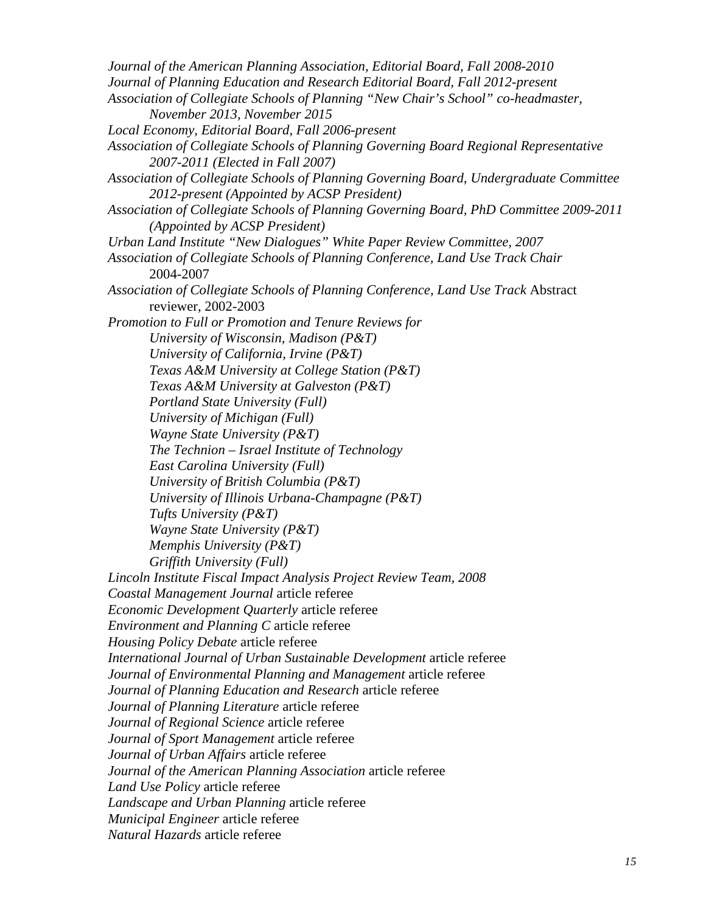*Journal of the American Planning Association, Editorial Board, Fall 2008-2010 Journal of Planning Education and Research Editorial Board, Fall 2012-present Association of Collegiate Schools of Planning "New Chair's School" co-headmaster, November 2013, November 2015 Local Economy, Editorial Board, Fall 2006-present Association of Collegiate Schools of Planning Governing Board Regional Representative 2007-2011 (Elected in Fall 2007) Association of Collegiate Schools of Planning Governing Board, Undergraduate Committee 2012-present (Appointed by ACSP President) Association of Collegiate Schools of Planning Governing Board, PhD Committee 2009-2011 (Appointed by ACSP President) Urban Land Institute "New Dialogues" White Paper Review Committee, 2007 Association of Collegiate Schools of Planning Conference, Land Use Track Chair*  2004-2007 *Association of Collegiate Schools of Planning Conference, Land Use Track* Abstract reviewer, 2002-2003 *Promotion to Full or Promotion and Tenure Reviews for University of Wisconsin, Madison (P&T) University of California, Irvine (P&T) Texas A&M University at College Station (P&T) Texas A&M University at Galveston (P&T) Portland State University (Full) University of Michigan (Full) Wayne State University (P&T) The Technion – Israel Institute of Technology East Carolina University (Full) University of British Columbia (P&T) University of Illinois Urbana-Champagne (P&T) Tufts University (P&T) Wayne State University (P&T) Memphis University (P&T) Griffith University (Full) Lincoln Institute Fiscal Impact Analysis Project Review Team, 2008 Coastal Management Journal* article referee *Economic Development Quarterly* article referee *Environment and Planning C* article referee *Housing Policy Debate* article referee *International Journal of Urban Sustainable Development* article referee *Journal of Environmental Planning and Management* article referee *Journal of Planning Education and Research* article referee *Journal of Planning Literature* article referee *Journal of Regional Science* article referee *Journal of Sport Management* article referee *Journal of Urban Affairs* article referee *Journal of the American Planning Association* article referee *Land Use Policy* article referee *Landscape and Urban Planning* article referee *Municipal Engineer* article referee *Natural Hazards* article referee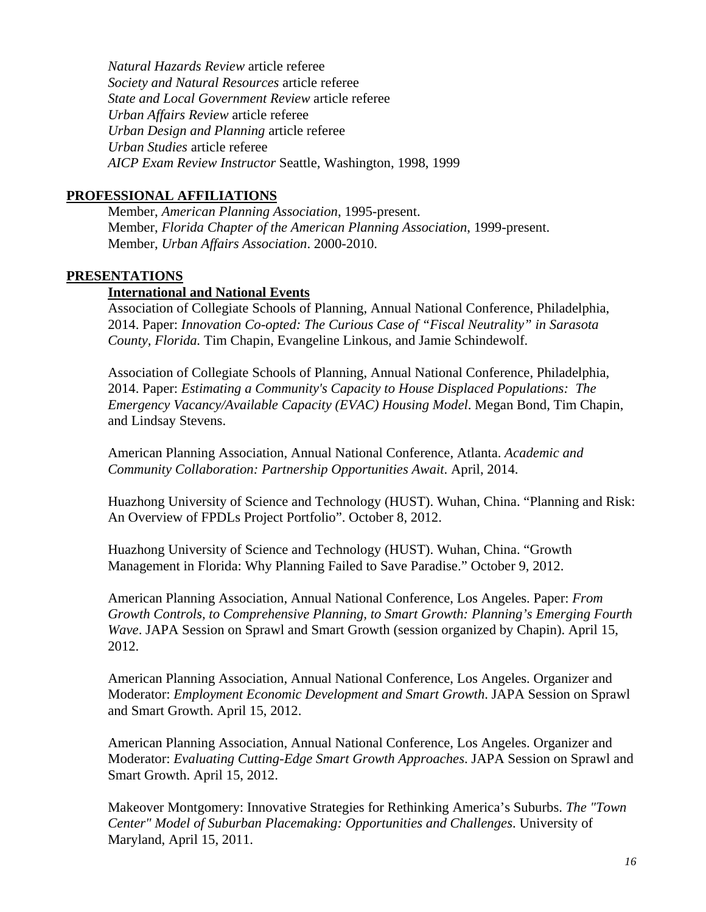*Natural Hazards Review* article referee *Society and Natural Resources* article referee *State and Local Government Review* article referee *Urban Affairs Review* article referee *Urban Design and Planning* article referee *Urban Studies* article referee *AICP Exam Review Instructor* Seattle, Washington, 1998, 1999

### **PROFESSIONAL AFFILIATIONS**

Member, *American Planning Association*, 1995-present. Member, *Florida Chapter of the American Planning Association*, 1999-present. Member, *Urban Affairs Association*. 2000-2010.

### **PRESENTATIONS**

### **International and National Events**

Association of Collegiate Schools of Planning, Annual National Conference, Philadelphia, 2014. Paper: *Innovation Co-opted: The Curious Case of "Fiscal Neutrality" in Sarasota County, Florida.* Tim Chapin, Evangeline Linkous, and Jamie Schindewolf.

Association of Collegiate Schools of Planning, Annual National Conference, Philadelphia, 2014. Paper: *Estimating a Community's Capacity to House Displaced Populations: The Emergency Vacancy/Available Capacity (EVAC) Housing Model*. Megan Bond, Tim Chapin, and Lindsay Stevens.

American Planning Association, Annual National Conference, Atlanta. *Academic and Community Collaboration: Partnership Opportunities Await*. April, 2014.

Huazhong University of Science and Technology (HUST). Wuhan, China. "Planning and Risk: An Overview of FPDLs Project Portfolio". October 8, 2012.

Huazhong University of Science and Technology (HUST). Wuhan, China. "Growth Management in Florida: Why Planning Failed to Save Paradise." October 9, 2012.

American Planning Association, Annual National Conference, Los Angeles. Paper: *From Growth Controls, to Comprehensive Planning, to Smart Growth: Planning's Emerging Fourth Wave*. JAPA Session on Sprawl and Smart Growth (session organized by Chapin). April 15, 2012.

American Planning Association, Annual National Conference, Los Angeles. Organizer and Moderator: *Employment Economic Development and Smart Growth*. JAPA Session on Sprawl and Smart Growth. April 15, 2012.

American Planning Association, Annual National Conference, Los Angeles. Organizer and Moderator: *Evaluating Cutting-Edge Smart Growth Approaches*. JAPA Session on Sprawl and Smart Growth. April 15, 2012.

Makeover Montgomery: Innovative Strategies for Rethinking America's Suburbs. *The "Town Center" Model of Suburban Placemaking: Opportunities and Challenges*. University of Maryland, April 15, 2011.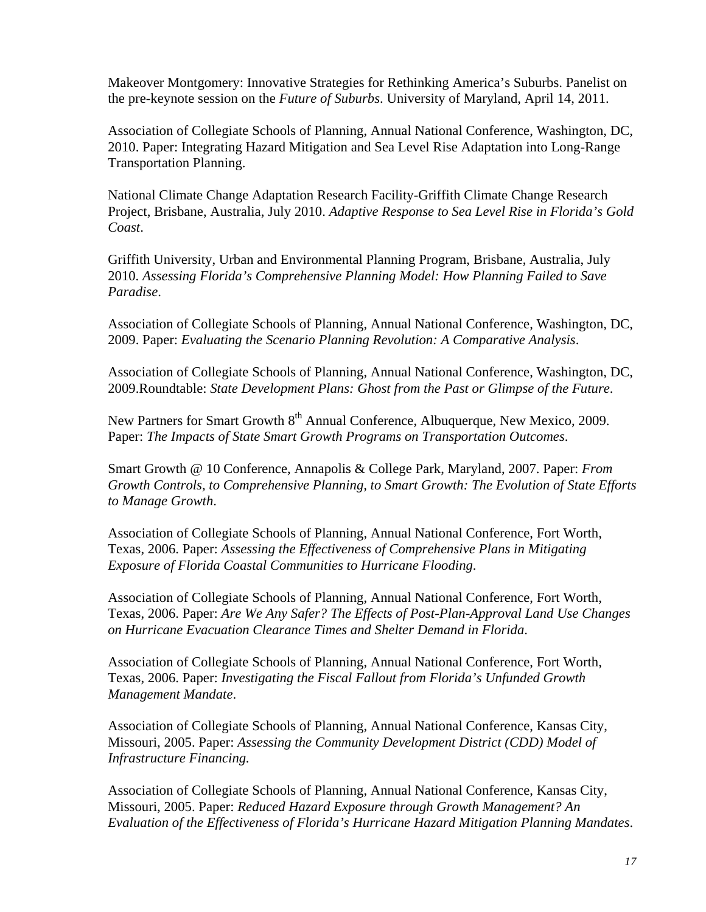Makeover Montgomery: Innovative Strategies for Rethinking America's Suburbs. Panelist on the pre-keynote session on the *Future of Suburbs*. University of Maryland, April 14, 2011.

Association of Collegiate Schools of Planning, Annual National Conference, Washington, DC, 2010. Paper: Integrating Hazard Mitigation and Sea Level Rise Adaptation into Long-Range Transportation Planning.

National Climate Change Adaptation Research Facility-Griffith Climate Change Research Project, Brisbane, Australia, July 2010. *Adaptive Response to Sea Level Rise in Florida's Gold Coast*.

Griffith University, Urban and Environmental Planning Program, Brisbane, Australia, July 2010. *Assessing Florida's Comprehensive Planning Model: How Planning Failed to Save Paradise*.

Association of Collegiate Schools of Planning, Annual National Conference, Washington, DC, 2009. Paper: *Evaluating the Scenario Planning Revolution: A Comparative Analysis*.

Association of Collegiate Schools of Planning, Annual National Conference, Washington, DC, 2009.Roundtable: *State Development Plans: Ghost from the Past or Glimpse of the Future*.

New Partners for Smart Growth 8<sup>th</sup> Annual Conference, Albuquerque, New Mexico, 2009. Paper: *The Impacts of State Smart Growth Programs on Transportation Outcomes*.

Smart Growth @ 10 Conference, Annapolis & College Park, Maryland, 2007. Paper: *From Growth Controls, to Comprehensive Planning, to Smart Growth: The Evolution of State Efforts to Manage Growth*.

Association of Collegiate Schools of Planning, Annual National Conference, Fort Worth, Texas, 2006. Paper: *Assessing the Effectiveness of Comprehensive Plans in Mitigating Exposure of Florida Coastal Communities to Hurricane Flooding*.

Association of Collegiate Schools of Planning, Annual National Conference, Fort Worth, Texas, 2006. Paper: *Are We Any Safer? The Effects of Post-Plan-Approval Land Use Changes on Hurricane Evacuation Clearance Times and Shelter Demand in Florida*.

Association of Collegiate Schools of Planning, Annual National Conference, Fort Worth, Texas, 2006. Paper: *Investigating the Fiscal Fallout from Florida's Unfunded Growth Management Mandate*.

Association of Collegiate Schools of Planning, Annual National Conference, Kansas City, Missouri, 2005. Paper: *Assessing the Community Development District (CDD) Model of Infrastructure Financing.*

Association of Collegiate Schools of Planning, Annual National Conference, Kansas City, Missouri, 2005. Paper: *Reduced Hazard Exposure through Growth Management? An Evaluation of the Effectiveness of Florida's Hurricane Hazard Mitigation Planning Mandates*.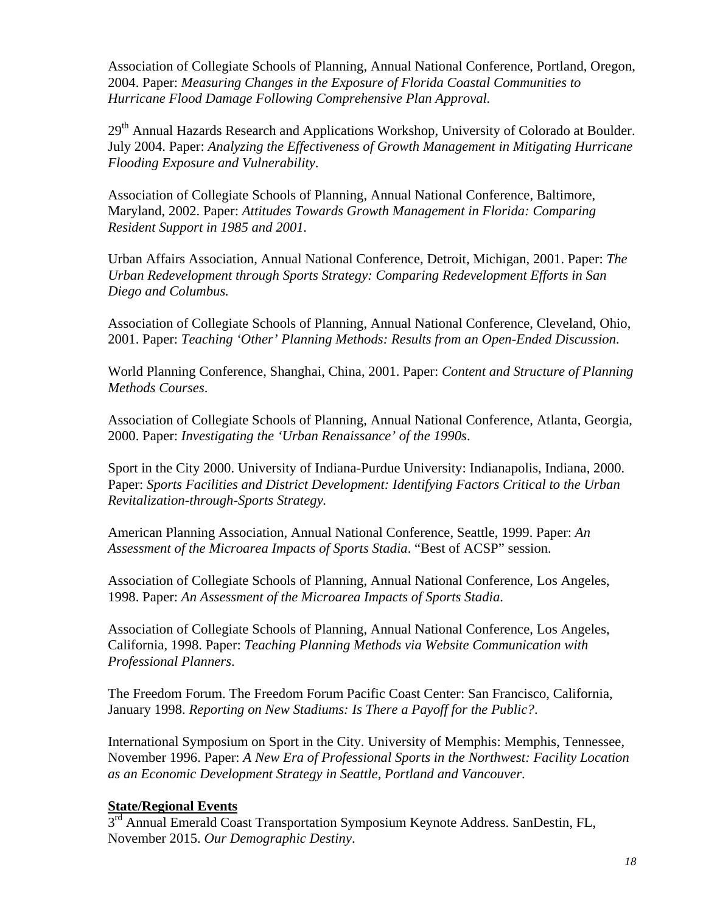Association of Collegiate Schools of Planning, Annual National Conference, Portland, Oregon, 2004. Paper: *Measuring Changes in the Exposure of Florida Coastal Communities to Hurricane Flood Damage Following Comprehensive Plan Approval.* 

29<sup>th</sup> Annual Hazards Research and Applications Workshop, University of Colorado at Boulder. July 2004. Paper: *Analyzing the Effectiveness of Growth Management in Mitigating Hurricane Flooding Exposure and Vulnerability*.

Association of Collegiate Schools of Planning, Annual National Conference, Baltimore, Maryland, 2002. Paper: *Attitudes Towards Growth Management in Florida: Comparing Resident Support in 1985 and 2001.* 

Urban Affairs Association, Annual National Conference, Detroit, Michigan, 2001. Paper: *The Urban Redevelopment through Sports Strategy: Comparing Redevelopment Efforts in San Diego and Columbus.* 

Association of Collegiate Schools of Planning, Annual National Conference, Cleveland, Ohio, 2001. Paper: *Teaching 'Other' Planning Methods: Results from an Open-Ended Discussion*.

World Planning Conference, Shanghai, China, 2001. Paper: *Content and Structure of Planning Methods Courses*.

Association of Collegiate Schools of Planning, Annual National Conference, Atlanta, Georgia, 2000. Paper: *Investigating the 'Urban Renaissance' of the 1990s*.

Sport in the City 2000. University of Indiana-Purdue University: Indianapolis, Indiana, 2000. Paper: *Sports Facilities and District Development: Identifying Factors Critical to the Urban Revitalization-through-Sports Strategy.* 

American Planning Association, Annual National Conference, Seattle, 1999. Paper: *An Assessment of the Microarea Impacts of Sports Stadia*. "Best of ACSP" session.

Association of Collegiate Schools of Planning, Annual National Conference, Los Angeles, 1998. Paper: *An Assessment of the Microarea Impacts of Sports Stadia*.

Association of Collegiate Schools of Planning, Annual National Conference, Los Angeles, California, 1998. Paper: *Teaching Planning Methods via Website Communication with Professional Planners*.

The Freedom Forum. The Freedom Forum Pacific Coast Center: San Francisco, California, January 1998. *Reporting on New Stadiums: Is There a Payoff for the Public?*.

International Symposium on Sport in the City. University of Memphis: Memphis, Tennessee, November 1996. Paper: *A New Era of Professional Sports in the Northwest: Facility Location as an Economic Development Strategy in Seattle, Portland and Vancouver*.

## **State/Regional Events**

3<sup>rd</sup> Annual Emerald Coast Transportation Symposium Keynote Address. SanDestin, FL, November 2015. *Our Demographic Destiny*.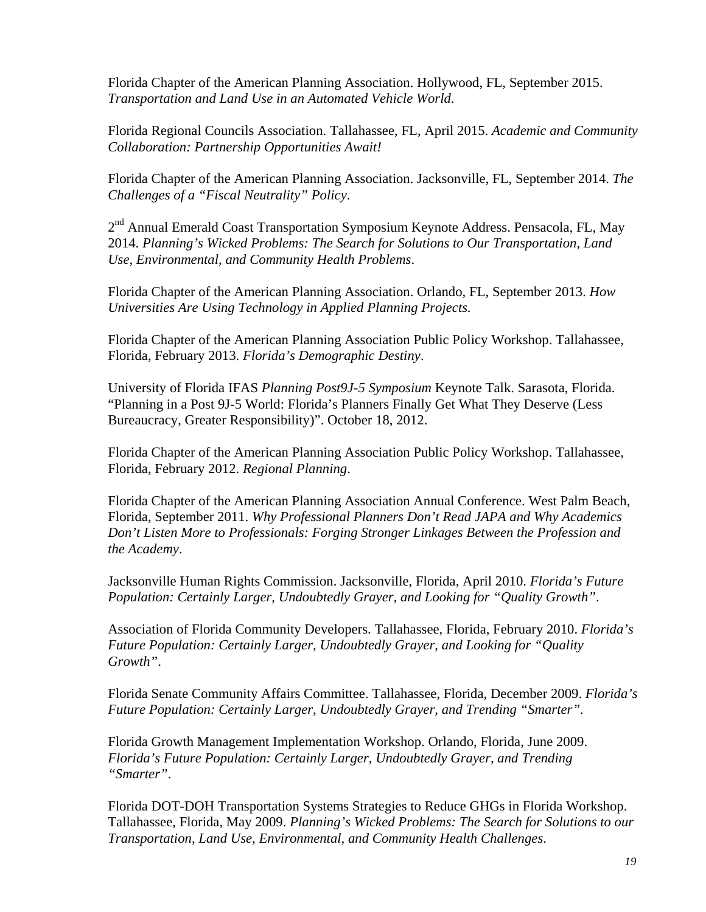Florida Chapter of the American Planning Association. Hollywood, FL, September 2015. *Transportation and Land Use in an Automated Vehicle World*.

Florida Regional Councils Association. Tallahassee, FL, April 2015. *Academic and Community Collaboration: Partnership Opportunities Await!*

Florida Chapter of the American Planning Association. Jacksonville, FL, September 2014. *The Challenges of a "Fiscal Neutrality" Policy*.

2<sup>nd</sup> Annual Emerald Coast Transportation Symposium Keynote Address. Pensacola, FL, May 2014. *Planning's Wicked Problems: The Search for Solutions to Our Transportation, Land Use, Environmental, and Community Health Problems*.

Florida Chapter of the American Planning Association. Orlando, FL, September 2013. *How Universities Are Using Technology in Applied Planning Projects.*

Florida Chapter of the American Planning Association Public Policy Workshop. Tallahassee, Florida, February 2013. *Florida's Demographic Destiny*.

University of Florida IFAS *Planning Post9J-5 Symposium* Keynote Talk. Sarasota, Florida. "Planning in a Post 9J-5 World: Florida's Planners Finally Get What They Deserve (Less Bureaucracy, Greater Responsibility)". October 18, 2012.

Florida Chapter of the American Planning Association Public Policy Workshop. Tallahassee, Florida, February 2012. *Regional Planning*.

Florida Chapter of the American Planning Association Annual Conference. West Palm Beach, Florida, September 2011. *Why Professional Planners Don't Read JAPA and Why Academics Don't Listen More to Professionals: Forging Stronger Linkages Between the Profession and the Academy*.

Jacksonville Human Rights Commission. Jacksonville, Florida, April 2010. *Florida's Future Population: Certainly Larger, Undoubtedly Grayer, and Looking for "Quality Growth"*.

Association of Florida Community Developers. Tallahassee, Florida, February 2010. *Florida's Future Population: Certainly Larger, Undoubtedly Grayer, and Looking for "Quality Growth"*.

Florida Senate Community Affairs Committee. Tallahassee, Florida, December 2009. *Florida's Future Population: Certainly Larger, Undoubtedly Grayer, and Trending "Smarter"*.

Florida Growth Management Implementation Workshop. Orlando, Florida, June 2009. *Florida's Future Population: Certainly Larger, Undoubtedly Grayer, and Trending "Smarter"*.

Florida DOT-DOH Transportation Systems Strategies to Reduce GHGs in Florida Workshop. Tallahassee, Florida, May 2009. *Planning's Wicked Problems: The Search for Solutions to our Transportation, Land Use, Environmental, and Community Health Challenges*.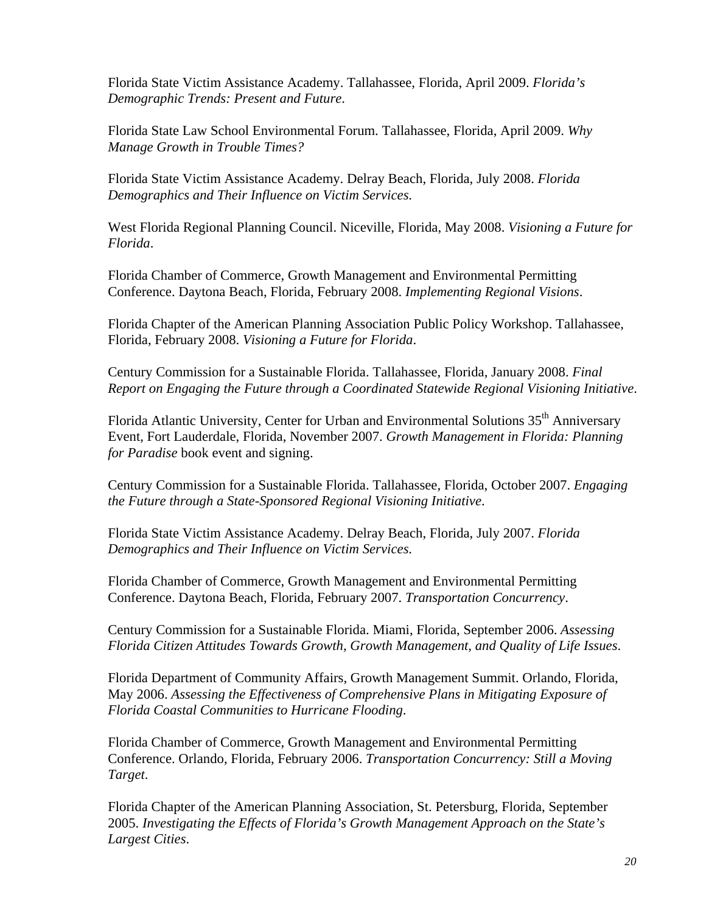Florida State Victim Assistance Academy. Tallahassee, Florida, April 2009. *Florida's Demographic Trends: Present and Future*.

Florida State Law School Environmental Forum. Tallahassee, Florida, April 2009. *Why Manage Growth in Trouble Times?*

Florida State Victim Assistance Academy. Delray Beach, Florida, July 2008. *Florida Demographics and Their Influence on Victim Services*.

West Florida Regional Planning Council. Niceville, Florida, May 2008. *Visioning a Future for Florida*.

Florida Chamber of Commerce, Growth Management and Environmental Permitting Conference. Daytona Beach, Florida, February 2008. *Implementing Regional Visions*.

Florida Chapter of the American Planning Association Public Policy Workshop. Tallahassee, Florida, February 2008. *Visioning a Future for Florida*.

Century Commission for a Sustainable Florida. Tallahassee, Florida, January 2008. *Final Report on Engaging the Future through a Coordinated Statewide Regional Visioning Initiative*.

Florida Atlantic University, Center for Urban and Environmental Solutions 35<sup>th</sup> Anniversary Event, Fort Lauderdale, Florida, November 2007. *Growth Management in Florida: Planning for Paradise* book event and signing.

Century Commission for a Sustainable Florida. Tallahassee, Florida, October 2007. *Engaging the Future through a State-Sponsored Regional Visioning Initiative*.

Florida State Victim Assistance Academy. Delray Beach, Florida, July 2007. *Florida Demographics and Their Influence on Victim Services*.

Florida Chamber of Commerce, Growth Management and Environmental Permitting Conference. Daytona Beach, Florida, February 2007. *Transportation Concurrency*.

Century Commission for a Sustainable Florida. Miami, Florida, September 2006. *Assessing Florida Citizen Attitudes Towards Growth, Growth Management, and Quality of Life Issues*.

Florida Department of Community Affairs, Growth Management Summit. Orlando, Florida, May 2006. *Assessing the Effectiveness of Comprehensive Plans in Mitigating Exposure of Florida Coastal Communities to Hurricane Flooding*.

Florida Chamber of Commerce, Growth Management and Environmental Permitting Conference. Orlando, Florida, February 2006. *Transportation Concurrency: Still a Moving Target*.

Florida Chapter of the American Planning Association, St. Petersburg, Florida, September 2005. *Investigating the Effects of Florida's Growth Management Approach on the State's Largest Cities*.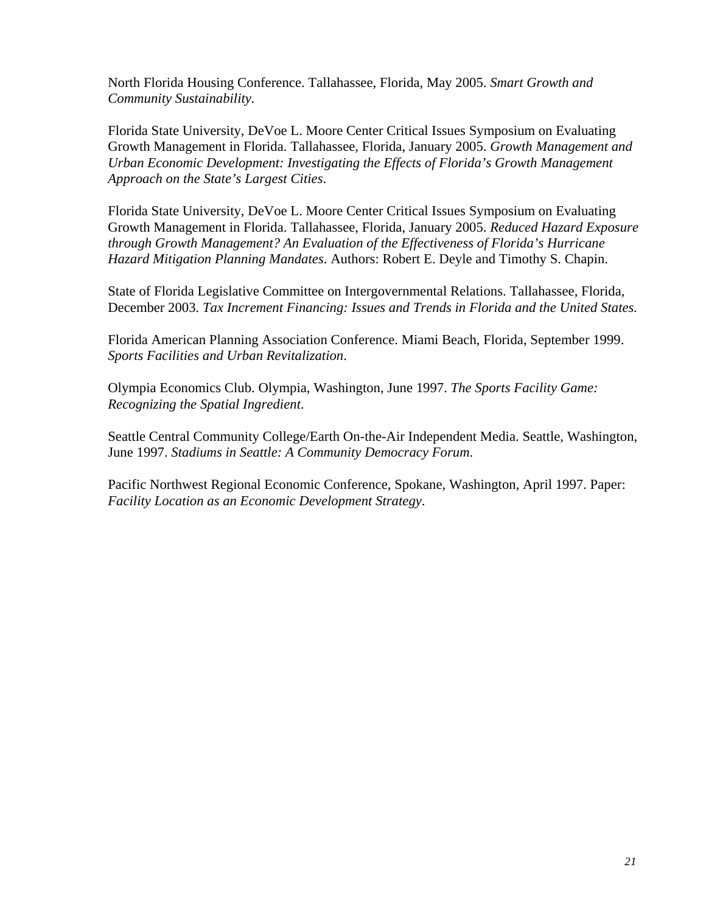North Florida Housing Conference. Tallahassee, Florida, May 2005. *Smart Growth and Community Sustainability.*

Florida State University, DeVoe L. Moore Center Critical Issues Symposium on Evaluating Growth Management in Florida. Tallahassee, Florida, January 2005. *Growth Management and Urban Economic Development: Investigating the Effects of Florida's Growth Management Approach on the State's Largest Cities*.

Florida State University, DeVoe L. Moore Center Critical Issues Symposium on Evaluating Growth Management in Florida. Tallahassee, Florida, January 2005. *Reduced Hazard Exposure through Growth Management? An Evaluation of the Effectiveness of Florida's Hurricane Hazard Mitigation Planning Mandates*. Authors: Robert E. Deyle and Timothy S. Chapin.

State of Florida Legislative Committee on Intergovernmental Relations. Tallahassee, Florida, December 2003. *Tax Increment Financing: Issues and Trends in Florida and the United States.* 

Florida American Planning Association Conference. Miami Beach, Florida, September 1999. *Sports Facilities and Urban Revitalization*.

Olympia Economics Club. Olympia, Washington, June 1997. *The Sports Facility Game: Recognizing the Spatial Ingredient*.

Seattle Central Community College/Earth On-the-Air Independent Media. Seattle, Washington, June 1997. *Stadiums in Seattle: A Community Democracy Forum*.

Pacific Northwest Regional Economic Conference, Spokane, Washington, April 1997. Paper: *Facility Location as an Economic Development Strategy*.